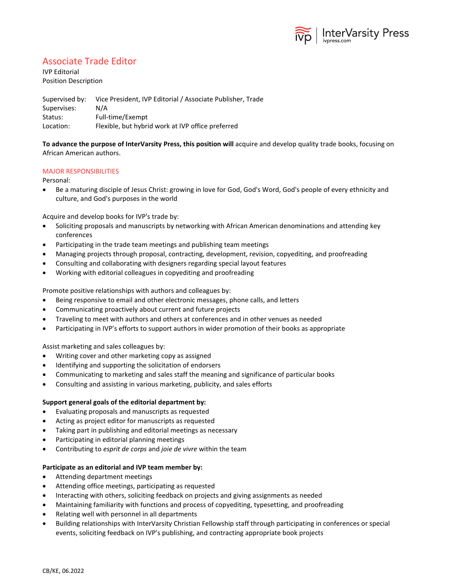

## Associate Trade Editor

IVP Editorial Position Description

Supervised by: Vice President, IVP Editorial / Associate Publisher, Trade Supervises: N/A Status: Full-time/Exempt Location: Flexible, but hybrid work at IVP office preferred

**To advance the purpose of InterVarsity Press, this position will** acquire and develop quality trade books, focusing on African American authors.

## MAJOR RESPONSIBILITIES

### Personal:

• Be a maturing disciple of Jesus Christ: growing in love for God, God's Word, God's people of every ethnicity and culture, and God's purposes in the world

Acquire and develop books for IVP's trade by:

- Soliciting proposals and manuscripts by networking with African American denominations and attending key conferences
- Participating in the trade team meetings and publishing team meetings
- Managing projects through proposal, contracting, development, revision, copyediting, and proofreading
- Consulting and collaborating with designers regarding special layout features
- Working with editorial colleagues in copyediting and proofreading

Promote positive relationships with authors and colleagues by:

- Being responsive to email and other electronic messages, phone calls, and letters
- Communicating proactively about current and future projects
- Traveling to meet with authors and others at conferences and in other venues as needed
- Participating in IVP's efforts to support authors in wider promotion of their books as appropriate

Assist marketing and sales colleagues by:

- Writing cover and other marketing copy as assigned
- Identifying and supporting the solicitation of endorsers
- Communicating to marketing and sales staff the meaning and significance of particular books
- Consulting and assisting in various marketing, publicity, and sales efforts

### **Support general goals of the editorial department by:**

- Evaluating proposals and manuscripts as requested
- Acting as project editor for manuscripts as requested
- Taking part in publishing and editorial meetings as necessary
- Participating in editorial planning meetings
- Contributing to *esprit de corps* and *joie de vivre* within the team

## **Participate as an editorial and IVP team member by:**

- Attending department meetings
- Attending office meetings, participating as requested
- Interacting with others, soliciting feedback on projects and giving assignments as needed
- Maintaining familiarity with functions and process of copyediting, typesetting, and proofreading
- Relating well with personnel in all departments
- Building relationships with InterVarsity Christian Fellowship staff through participating in conferences or special events, soliciting feedback on IVP's publishing, and contracting appropriate book projects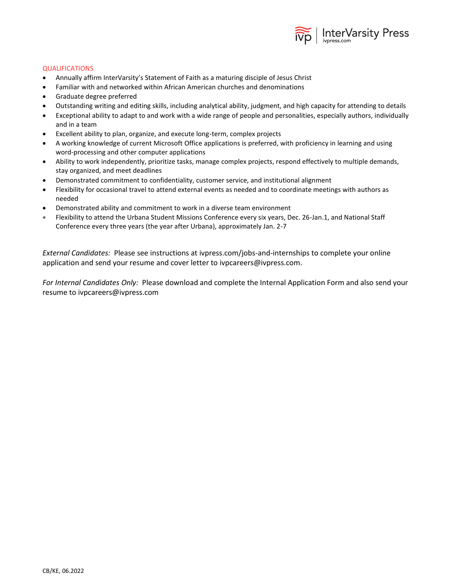

### **QUALIFICATIONS**

- Annually affirm InterVarsity's Statement of Faith as a maturing disciple of Jesus Christ
- Familiar with and networked within African American churches and denominations
- Graduate degree preferred
- Outstanding writing and editing skills, including analytical ability, judgment, and high capacity for attending to details
- Exceptional ability to adapt to and work with a wide range of people and personalities, especially authors, individually and in a team
- Excellent ability to plan, organize, and execute long-term, complex projects
- A working knowledge of current Microsoft Office applications is preferred, with proficiency in learning and using word-processing and other computer applications
- Ability to work independently, prioritize tasks, manage complex projects, respond effectively to multiple demands, stay organized, and meet deadlines
- Demonstrated commitment to confidentiality, customer service, and institutional alignment
- Flexibility for occasional travel to attend external events as needed and to coordinate meetings with authors as needed
- Demonstrated ability and commitment to work in a diverse team environment
- Flexibility to attend the Urbana Student Missions Conference every six years, Dec. 26-Jan.1, and National Staff Conference every three years (the year after Urbana), approximately Jan. 2-7

*External Candidates:* Please see instructions at ivpress.com/jobs-and-internships to complete your online application and send your resume and cover letter to ivpcareers@ivpress.com.

*For Internal Candidates Only:* Please download and complete the Internal Application Form and also send your resume to ivpcareers@ivpress.com